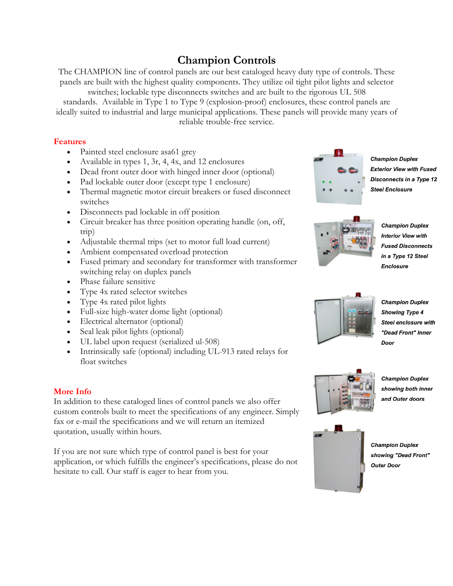## **Champion Controls**

The CHAMPION line of control panels are our best cataloged heavy duty type of controls. These panels are built with the highest quality components. They utilize oil tight pilot lights and selector

switches; lockable type disconnects switches and are built to the rigorous UL 508 standards. Available in Type 1 to Type 9 (explosion-proof) enclosures, these control panels are ideally suited to industrial and large municipal applications. These panels will provide many years of reliable trouble-free service.

## **Features**

- Painted steel enclosure asa61 grey
- Available in types 1, 3r, 4, 4x, and 12 enclosures
- Dead front outer door with hinged inner door (optional)
- Pad lockable outer door (except type 1 enclosure)
- Thermal magnetic motor circuit breakers or fused disconnect switches
- Disconnects pad lockable in off position
- Circuit breaker has three position operating handle (on, off, trip)
- Adjustable thermal trips (set to motor full load current)
- Ambient compensated overload protection
- Fused primary and secondary for transformer with transformer switching relay on duplex panels
- Phase failure sensitive
- Type 4x rated selector switches
- Type 4x rated pilot lights
- Full-size high-water dome light (optional)
- Electrical alternator (optional)
- Seal leak pilot lights (optional)
- UL label upon request (serialized ul-508)
- Intrinsically safe (optional) including UL-913 rated relays for float switches

## **More Info**

In addition to these cataloged lines of control panels we also offer custom controls built to meet the specifications of any engineer. Simply fax or e-mail the specifications and we will return an itemized quotation, usually within hours.

If you are not sure which type of control panel is best for your application, or which fulfills the engineer's specifications, please do not hesitate to call. Our staff is eager to hear from you.



**Champion Duplex Exterior View with Fused Disconnects in a Type 12 Steel Enclosure** 



**Champion Duplex Interior View with Fused Disconnects** in a Type 12 Steel **Enclosure** 



**Champion Duplex Showing Type 4** Steel enclosure with "Dead Front" Inner Door



**Champion Duplex** showing both inner and Outer doors



**Champion Duplex** showing "Dead Front" **Outer Door**